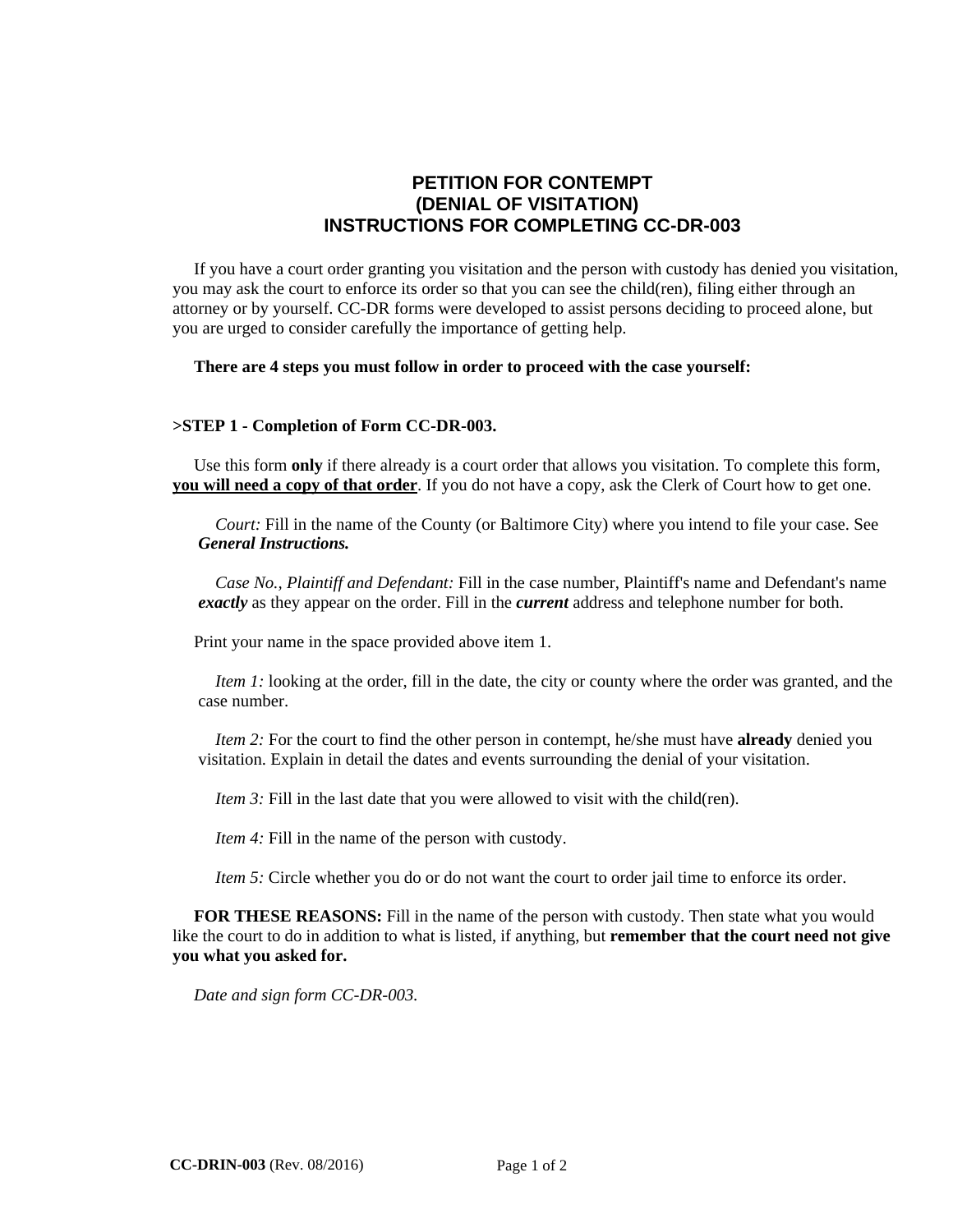# **PETITION FOR CONTEMPT (DENIAL OF VISITATION) INSTRUCTIONS FOR COMPLETING CC-DR-003**

 If you have a court order granting you visitation and the person with custody has denied you visitation, you may ask the court to enforce its order so that you can see the child(ren), filing either through an attorney or by yourself. CC-DR forms were developed to assist persons deciding to proceed alone, but you are urged to consider carefully the importance of getting help.

#### **There are 4 steps you must follow in order to proceed with the case yourself:**

#### **>STEP 1 - Completion of Form CC-DR-003.**

Use this form **only** if there already is a court order that allows you visitation. To complete this form, **you will need a copy of that order**. If you do not have a copy, ask the Clerk of Court how to get one.

*Court:* Fill in the name of the County (or Baltimore City) where you intend to file your case. See *General Instructions.*

 *Case No., Plaintiff and Defendant:* Fill in the case number, Plaintiff's name and Defendant's name *exactly* as they appear on the order. Fill in the *current* address and telephone number for both.

Print your name in the space provided above item 1.

*Item 1:* looking at the order, fill in the date, the city or county where the order was granted, and the case number.

 *Item 2:* For the court to find the other person in contempt, he/she must have **already** denied you visitation. Explain in detail the dates and events surrounding the denial of your visitation.

*Item 3:* Fill in the last date that you were allowed to visit with the child(ren).

*Item 4:* Fill in the name of the person with custody.

*Item 5:* Circle whether you do or do not want the court to order jail time to enforce its order.

**FOR THESE REASONS:** Fill in the name of the person with custody. Then state what you would like the court to do in addition to what is listed, if anything, but **remember that the court need not give you what you asked for.**

 *Date and sign form CC-DR-003.*